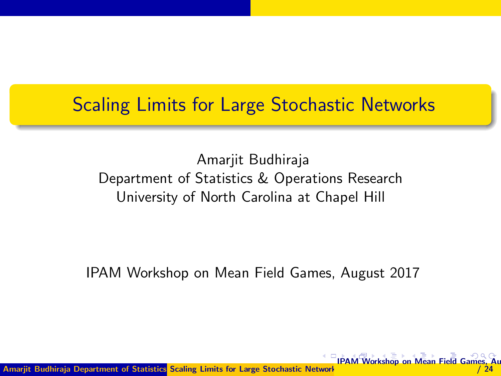#### <span id="page-0-0"></span>Scaling Limits for Large Stochastic Networks

Amarjit Budhiraja Department of Statistics & Operations Research University of North Carolina at Chapel Hill

IPAM Workshop on Mean Field Games, August 2017

**[IPA](#page-1-0)[M W](#page-0-0)[or](#page-1-0)[ksho](#page-0-0)[p o](#page-24-0)[n M](#page-0-0)[ean](#page-24-0) [Fiel](#page-0-0)[d Ga](#page-24-0)m** 

 $/ 24$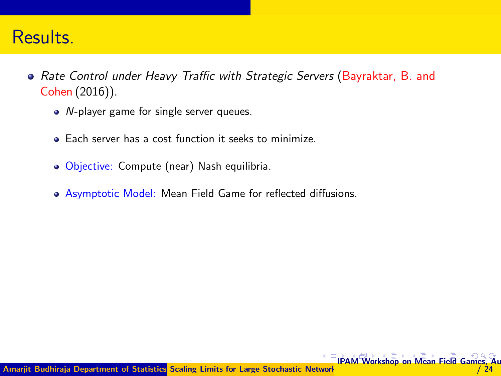#### <span id="page-1-0"></span>Results.

- Rate Control under Heavy Traffic with Strategic Servers (Bayraktar, B. and Cohen (2016)).
	- *N*-player game for single server queues.
	- Each server has a cost function it seeks to minimize.
	- Objective: Compute (near) Nash equilibria.
	- Asymptotic Model: Mean Field Game for reflected diffusions.

**[IPA](#page-2-0)[M](#page-0-0) [W](#page-2-0)[or](#page-3-0)[ksho](#page-0-0)[p o](#page-24-0)[n M](#page-0-0)[ean](#page-24-0) [Fiel](#page-0-0)[d Ga](#page-24-0)m**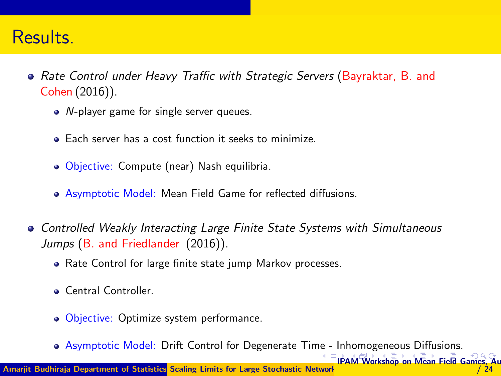#### <span id="page-2-0"></span>Results.

- Rate Control under Heavy Traffic with Strategic Servers (Bayraktar, B. and Cohen (2016)).
	- *N*-player game for single server queues.
	- Each server has a cost function it seeks to minimize.
	- Objective: Compute (near) Nash equilibria.
	- Asymptotic Model: Mean Field Game for reflected diffusions.
- **Controlled Weakly Interacting Large Finite State Systems with Simultaneous** Jumps (B. and Friedlander (2016)).
	- Rate Control for large finite state jump Markov processes.
	- Central Controller.
	- Objective: Optimize system performance.
	- Asymptotic Model: Drift Control for Degenerate Ti[me -](#page-1-0) Inhomogeneous Diffusions.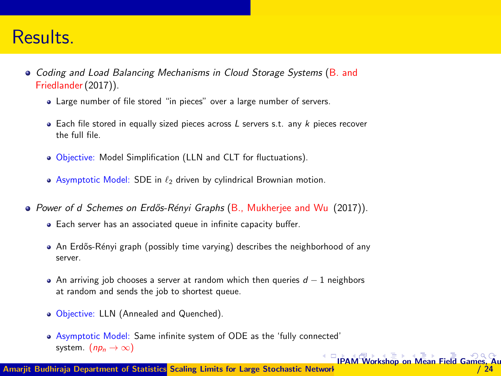#### <span id="page-3-0"></span>Results.

- Coding and Load Balancing Mechanisms in Cloud Storage Systems (B. and Friedlander(2017)).
	- Large number of file stored "in pieces" over a large number of servers.
	- $\bullet$  Each file stored in equally sized pieces across L servers s.t. any k pieces recover the full file.
	- Objective: Model Simplification (LLN and CLT for fluctuations).
	- Asymptotic Model: SDE in  $\ell_2$  driven by cylindrical Brownian motion.
- Power of d Schemes on Erdős-Rényi Graphs (B., Mukheriee and Wu (2017)).
	- Each server has an associated queue in infinite capacity buffer.
	- An Erdős-Rényi graph (possibly time varying) describes the neighborhood of any server.
	- An arriving job chooses a server at random which then queries  $d 1$  neighbors at random and sends the job to shortest queue.
	- Objective: LLN (Annealed and Quenched).
	- Asymptotic Model: Same infinite system of ODE as the 'fully connected' system.  $(np_n \to \infty)$

**[IPA](#page-4-0)[M](#page-2-0) [W](#page-3-0)[or](#page-4-0)[ksho](#page-0-0)[p o](#page-24-0)[n M](#page-0-0)[ean](#page-24-0) [Fiel](#page-0-0)[d Ga](#page-24-0)mes** 

 $/ 24$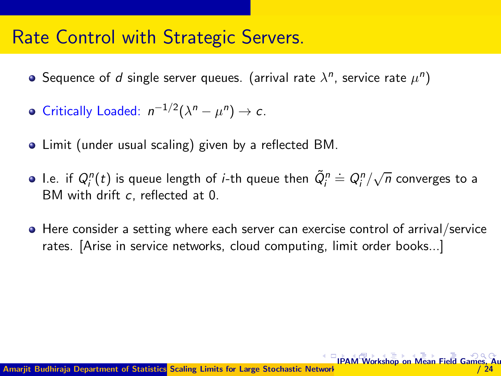#### <span id="page-4-0"></span>Rate Control with Strategic Servers.

- Sequence of  $d$  single server queues. (arrival rate  $\lambda^n$ , service rate  $\mu^n)$
- Critically Loaded:  $n^{-1/2}(\lambda^n \mu^n) \to c$ .
- Limit (under usual scaling) given by a reflected BM.
- I.e. if  $Q^n_i(t)$  is queue length of *i*-th queue then  $\tilde{Q}^n_i \doteq Q^n_i/\sqrt{n}$  converges to a BM with drift c, reflected at 0.
- **•** Here consider a setting where each server can exercise control of arrival/service rates. [Arise in service networks, cloud computing, limit order books...]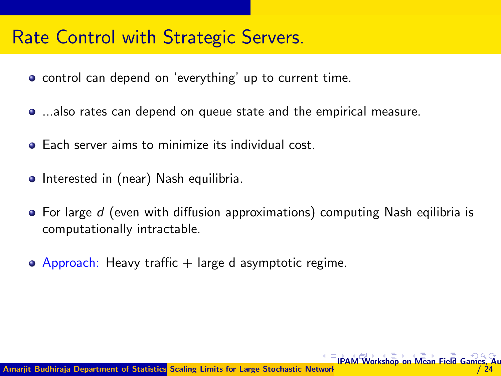### <span id="page-5-0"></span>Rate Control with Strategic Servers.

- **•** control can depend on 'everything' up to current time.
- ...also rates can depend on queue state and the empirical measure.
- **•** Each server aims to minimize its individual cost.
- Interested in (near) Nash equilibria.
- $\bullet$  For large d (even with diffusion approximations) computing Nash eqilibria is computationally intractable.
- $\bullet$  Approach: Heavy traffic  $+$  large d asymptotic regime.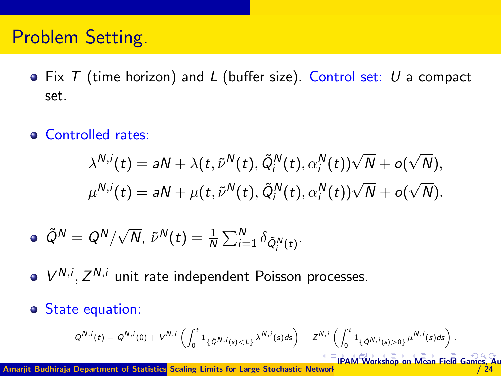#### <span id="page-6-0"></span>Problem Setting.

- $\bullet$  Fix T (time horizon) and L (buffer size). Control set: U a compact set.
- **Controlled rates:**

$$
\lambda^{N,i}(t) = aN + \lambda(t, \tilde{\nu}^N(t), \tilde{Q}_i^N(t), \alpha_i^N(t))\sqrt{N} + o(\sqrt{N}),
$$
  

$$
\mu^{N,i}(t) = aN + \mu(t, \tilde{\nu}^N(t), \tilde{Q}_i^N(t), \alpha_i^N(t))\sqrt{N} + o(\sqrt{N}).
$$

$$
\bullet \ \tilde{Q}^N = Q^N/\sqrt{N}, \ \tilde{\nu}^N(t) = \frac{1}{N}\sum_{i=1}^N \delta_{\tilde{Q}_i^N(t)}.
$$

- $V^{N,i}, Z^{N,i}$  unit rate independent Poisson processes.
- State equation:

$$
Q^{N,i}(t) = Q^{N,i}(0) + V^{N,i}\left(\int_0^t \mathbf{1}_{\{\tilde{Q}^{N,i}(s) < L\}} \lambda^{N,i}(s) ds\right) - Z^{N,i}\left(\int_0^t \mathbf{1}_{\{\tilde{Q}^{N,i}(s) > 0\}} \mu^{N,i}(s) ds\right).
$$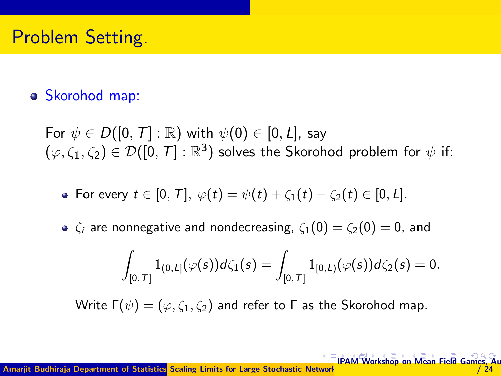## <span id="page-7-0"></span>Problem Setting.

#### Skorohod map:

For  $\psi \in D([0, T]: \mathbb{R})$  with  $\psi(0) \in [0, L]$ , say  $(\varphi,\zeta_1,\zeta_2)\in\mathcal{D}([0,\,T]:\mathbb{R}^3)$  solves the Skorohod problem for  $\psi$  if:

• For every  $t \in [0, T]$ ,  $\varphi(t) = \psi(t) + \zeta_1(t) - \zeta_2(t) \in [0, L]$ .

 $\zeta_i$  are nonnegative and nondecreasing,  $\zeta_1(0) = \zeta_2(0) = 0$ , and

$$
\int_{[0,T]} 1_{(0,L]}(\varphi(s))d\zeta_1(s)=\int_{[0,T]} 1_{[0,L)}(\varphi(s))d\zeta_2(s)=0.
$$

Write  $\Gamma(\psi) = (\varphi, \zeta_1, \zeta_2)$  and refer to  $\Gamma$  as the Skorohod map.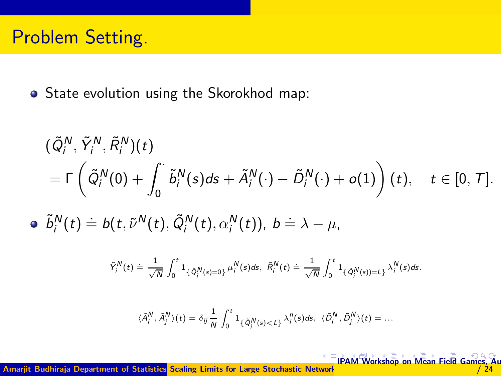#### <span id="page-8-0"></span>Problem Setting.

**•** State evolution using the Skorokhod map:

$$
\begin{aligned} &(\tilde{Q}_{i}^{N},\tilde{Y}_{i}^{N},\tilde{R}_{i}^{N})(t)\\ &=\Gamma\left(\tilde{Q}_{i}^{N}(0)+\int_{0}^{\cdot}\tilde{b}_{i}^{N}(s)ds+\tilde{A}_{i}^{N}(\cdot)-\tilde{D}_{i}^{N}(\cdot)+o(1)\right)(t),\quad t\in[0,\mathcal{T}].\end{aligned}
$$

 $\tilde{b}_i^N(t) \doteq b(t, \tilde{\nu}^N(t), \tilde{Q}_i^N(t), \alpha_i^N(t)), b \doteq \lambda - \mu,$ 

$$
\tilde{Y}^N_i(t) \doteq \frac{1}{\sqrt{N}}\int_0^t \mathbf{1}_{\{\tilde{Q}^N_i(s)=0\}}\mu^{N}_i(s)ds, \ \tilde{R}^N_i(t) \doteq \frac{1}{\sqrt{N}}\int_0^t \mathbf{1}_{\{\tilde{Q}^N_i(s)=L\}}\lambda^N_i(s)ds.
$$

$$
\langle \tilde{A}_i^N, \tilde{A}_j^N \rangle (t) = \delta_{ij} \frac{1}{N} \int_0^t \mathbf{1}_{\{\tilde{Q}_i^N(s) < L\}} \lambda_i^n(s) ds, \ \langle \tilde{D}_i^N, \tilde{D}_j^N \rangle (t) = \dots
$$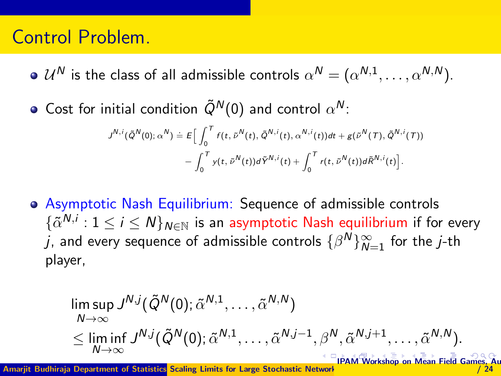#### <span id="page-9-0"></span>Control Problem.

- $\mathcal{U}^N$  is the class of all admissible controls  $\alpha^N = (\alpha^{N,1}, \dots, \alpha^{N,N}).$
- Cost for initial condition  $\tilde{Q}^{\prime\prime}(0)$  and control  $\alpha^{\prime\prime}$ :

$$
J^{N,i}(\tilde{Q}^N(0);\alpha^N) \doteq E\Big[\int_0^T f(t,\tilde{\nu}^N(t),\tilde{Q}^{N,i}(t),\alpha^{N,i}(t))dt + g(\tilde{\nu}^N(T),\tilde{Q}^{N,i}(T))\\ - \int_0^T y(t,\tilde{\nu}^N(t))d\tilde{Y}^{N,i}(t) + \int_0^T r(t,\tilde{\nu}^N(t))d\tilde{R}^{N,i}(t)\Big].
$$

Asymptotic Nash Equilibrium: Sequence of admissible controls  $\{\tilde{\alpha}^{N,i}: 1 \leq i \leq N\}_{N \in \mathbb{N}}$  is an asymptotic Nash equilibrium if for every  $j$ , and every sequence of admissible controls  $\{\beta^N\}_{N=1}^\infty$  for the  $j$ -th player,

$$
\limsup_{N \to \infty} J^{N,j}(\tilde{Q}^N(0); \tilde{\alpha}^{N,1}, \dots, \tilde{\alpha}^{N,N})
$$
\n
$$
\leq \liminf_{N \to \infty} J^{N,j}(\tilde{Q}^N(0); \tilde{\alpha}^{N,1}, \dots, \tilde{\alpha}^{N,j-1}, \beta^N, \tilde{\alpha}^{N,j+1}, \dots, \tilde{\alpha}^{N,N}).
$$

Amariit Budhiraja Department of Statistics Scaling Limits for Large Stochastic Network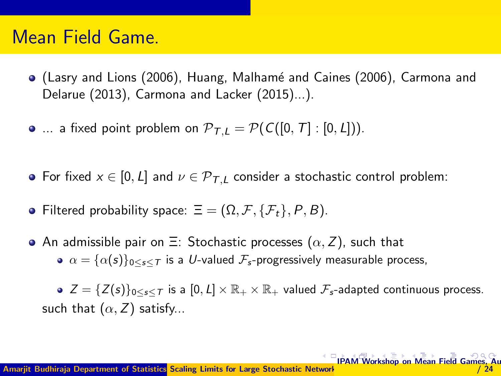- <span id="page-10-0"></span>• (Lasry and Lions (2006), Huang, Malhamé and Caines (2006), Carmona and Delarue (2013), Carmona and Lacker (2015)...).
- $\bullet$  ... a fixed point problem on  $\mathcal{P}_{\mathcal{T},L} = \mathcal{P}(C([0,T]: [0,L]))$ .
- For fixed  $x \in [0, L]$  and  $\nu \in \mathcal{P}_{T,L}$  consider a stochastic control problem:
- Filtered probability space:  $\Xi = (\Omega, \mathcal{F}, \{F_t\}, P, B)$ .
- An admissible pair on  $\Xi$ : Stochastic processes  $(\alpha, Z)$ , such that  $\alpha = {\alpha(s)}_{0\leq s\leq T}$  is a U-valued  $\mathcal{F}_s$ -progressively measurable process,

 $\bullet$   $Z = \{Z(s)\}_{0 \leq s \leq T}$  is a  $[0, L] \times \mathbb{R}_+ \times \mathbb{R}_+$  valued  $\mathcal{F}_{s}$ -adapted continuous process. such that  $(\alpha, Z)$  satisfy...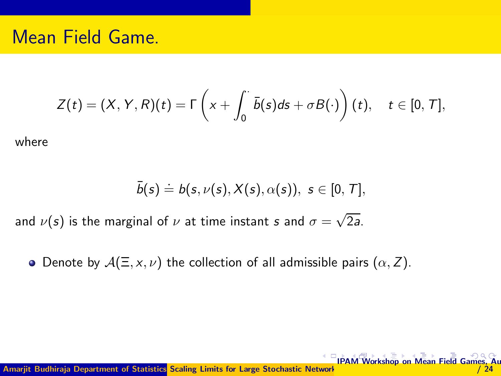<span id="page-11-0"></span>
$$
Z(t)=(X,Y,R)(t)=\Gamma\left(x+\int_0^{\cdot}\bar{b}(s)ds+\sigma B(\cdot)\right)(t),\quad t\in[0,T],
$$

where

$$
\bar{b}(s) \doteq b(s, \nu(s), X(s), \alpha(s)), \, \, s \in [0, \, \mathcal{T}],
$$

[IPA](#page-12-0)[M](#page-10-0) [W](#page-11-0)[or](#page-12-0)[ksho](#page-0-0)[p o](#page-24-0)[n M](#page-0-0)[ean](#page-24-0) [Fiel](#page-0-0)[d Ga](#page-24-0)mes, August / 24

and  $\nu(\mathsf{s})$  is the marginal of  $\nu$  at time instant  $\mathsf{s}$  and  $\sigma = \sqrt{2\mathsf{a}}$ .

• Denote by  $A(\Xi, x, \nu)$  the collection of all admissible pairs  $(\alpha, Z)$ .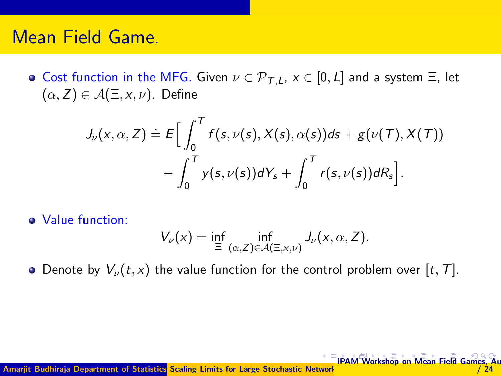<span id="page-12-0"></span>**•** Cost function in the MFG. Given  $\nu \in \mathcal{P}_{T,L}$ ,  $x \in [0, L]$  and a system  $\Xi$ , let  $(\alpha, Z) \in \mathcal{A}(\Xi, x, \nu)$ . Define

$$
J_{\nu}(x,\alpha,Z)\doteq E\Big[\int_0^T f(s,\nu(s),X(s),\alpha(s))ds+g(\nu(T),X(T))\\-\int_0^T y(s,\nu(s))dY_s+\int_0^T r(s,\nu(s))dR_s\Big].
$$

Value function:

$$
V_{\nu}(x) = \inf_{\Xi} \inf_{(\alpha, Z) \in \mathcal{A}(\Xi, x, \nu)} J_{\nu}(x, \alpha, Z).
$$

• Denote by  $V_{\nu}(t, x)$  the value function for the control problem over [t, T].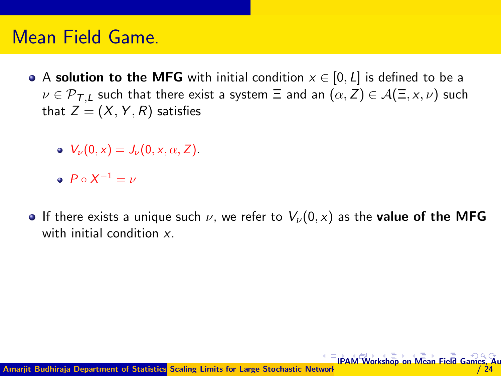- <span id="page-13-0"></span>A solution to the MFG with initial condition  $x \in [0, L]$  is defined to be a  $\nu \in \mathcal{P}_{\mathcal{T},L}$  such that there exist a system  $\Xi$  and an  $(\alpha, Z) \in \mathcal{A}(\Xi, \times, \nu)$  such that  $Z = (X, Y, R)$  satisfies
	- $V_{\nu}(0, x) = J_{\nu}(0, x, \alpha, Z).$
	- $P \circ X^{-1} = \nu$
- **If there exists a unique such v, we refer to**  $V_{\nu}(0, x)$  **as the value of the MFG** with initial condition x.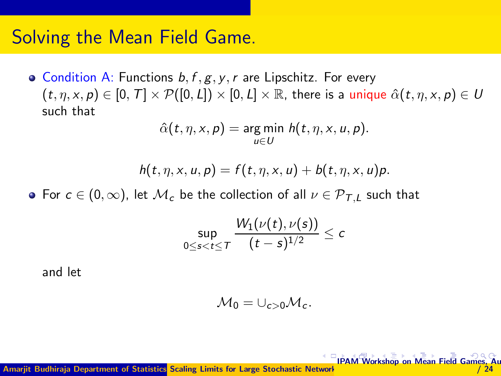#### <span id="page-14-0"></span>Solving the Mean Field Game.

• Condition A: Functions  $b, f, g, y, r$  are Lipschitz. For every  $(t, \eta, x, p) \in [0, T] \times \mathcal{P}([0, L]) \times [0, L] \times \mathbb{R}$ , there is a unique  $\hat{\alpha}(t, \eta, x, p) \in U$ such that

$$
\hat{\alpha}(t,\eta,x,p)=\underset{u\in U}{\arg\min} h(t,\eta,x,u,p).
$$

$$
h(t,\eta,x,u,p)=f(t,\eta,x,u)+b(t,\eta,x,u)p.
$$

• For  $c \in (0,\infty)$ , let  $\mathcal{M}_c$  be the collection of all  $\nu \in \mathcal{P}_{TL}$  such that

$$
\sup_{0\leq s
$$

and let

$$
\mathcal{M}_0=\cup_{c>0}\mathcal{M}_c.
$$

 $/ 24$ 

Amarjit Budhiraja Department of Statistics Scaling Limits for Large Stochastic Network **[IPA](#page-15-0)[M](#page-13-0) [W](#page-14-0)[or](#page-15-0)[ksho](#page-0-0)[p o](#page-24-0)[n M](#page-0-0)[ean](#page-24-0) [Fiel](#page-0-0)[d Ga](#page-24-0)mes, August**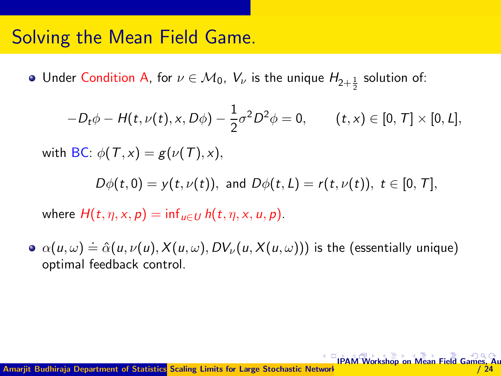#### <span id="page-15-0"></span>Solving the Mean Field Game.

Under Condition A, for  $\nu\in\mathcal{M}_0,\ V_{\nu}$  is the unique  $H_{2+\frac{1}{2}}$  solution of: 2

$$
-D_t \phi - H(t, \nu(t), x, D\phi) - \frac{1}{2} \sigma^2 D^2 \phi = 0, \qquad (t, x) \in [0, T] \times [0, L],
$$

with BC:  $\phi(T, x) = g(\nu(T), x)$ ,

 $D\phi(t,0) = v(t, \nu(t))$ , and  $D\phi(t, L) = r(t, \nu(t))$ ,  $t \in [0, T]$ ,

where  $H(t, \eta, x, p) = \inf_{u \in U} h(t, \eta, x, u, p)$ .

 $\alpha(u,\omega) \doteq \hat{\alpha}(u,\nu(u),X(u,\omega),D V_{\nu}(u,X(u,\omega)))$  is the (essentially unique) optimal feedback control.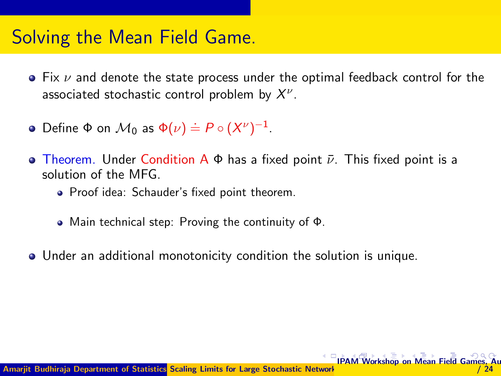#### <span id="page-16-0"></span>Solving the Mean Field Game.

- $\bullet$  Fix  $\nu$  and denote the state process under the optimal feedback control for the associated stochastic control problem by  $X^{\nu}$ .
- Define  $\Phi$  on  $\mathcal{M}_0$  as  $\Phi(\nu) \doteq P \circ (X^{\nu})^{-1}$ .
- **Theorem.** Under Condition A Φ has a fixed point  $\bar{\nu}$ . This fixed point is a solution of the MFG.
	- Proof idea: Schauder's fixed point theorem.
	- Main technical step: Proving the continuity of Φ.
- Under an additional monotonicity condition the solution is unique.

**[IPA](#page-17-0)[M](#page-15-0) [W](#page-16-0)[or](#page-17-0)[ksho](#page-0-0)[p o](#page-24-0)[n M](#page-0-0)[ean](#page-24-0) [Fiel](#page-0-0)[d Ga](#page-24-0)m**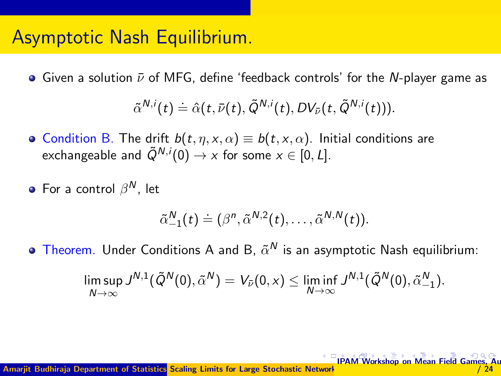#### <span id="page-17-0"></span>Asymptotic Nash Equilibrium.

• Given a solution  $\bar{\nu}$  of MFG, define 'feedback controls' for the N-player game as

$$
\tilde{\alpha}^{N,i}(t)\doteq \hat{\alpha}(t,\bar{\nu}(t),\tilde{Q}^{N,i}(t),DV_{\bar{\nu}}(t,\tilde{Q}^{N,i}(t))).
$$

- Condition B. The drift  $b(t, \eta, x, \alpha) \equiv b(t, x, \alpha)$ . Initial conditions are exchangeable and  $\tilde{Q}^{N,i}(0) \rightarrow x$  for some  $x \in [0, L]$ .
- For a control  $\beta^N$ , let

$$
\tilde{\alpha}_{-1}^N(t)\doteq (\beta^n,\tilde{\alpha}^{N,2}(t),\ldots,\tilde{\alpha}^{N,N}(t)).
$$

Theorem. Under Conditions A and B,  $\tilde{\alpha}^{\prime\prime}$  is an asymptotic Nash equilibrium:

$$
\limsup_{N\to\infty}J^{N,1}(\tilde Q^N(0),\tilde \alpha^N)=V_{\bar\nu}(0,x)\leq \liminf_{N\to\infty}J^{N,1}(\tilde Q^N(0),\tilde \alpha_{-1}^N).
$$

**[IPA](#page-18-0)[M](#page-16-0) [W](#page-17-0)[or](#page-18-0)[ksho](#page-0-0)[p o](#page-24-0)[n M](#page-0-0)[ean](#page-24-0) [Fiel](#page-0-0)[d Ga](#page-24-0)mes**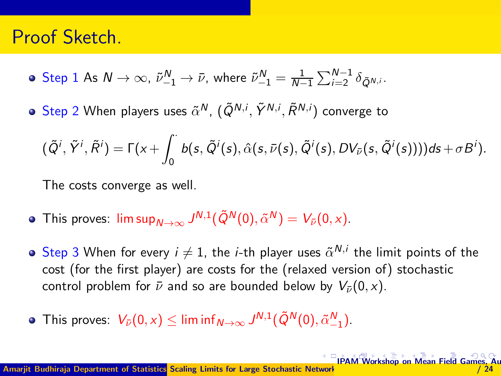#### <span id="page-18-0"></span>Proof Sketch.

- Step 1 As  $N \to \infty$ ,  $\tilde{\nu}_{-1}^{N} \to \bar{\nu}$ , where  $\tilde{\nu}_{-1}^{N} = \frac{1}{N-1} \sum_{i=2}^{N-1} \delta_{\tilde{Q}^{N,i}}$ .
- $\mathsf{Step}\ 2$  When players uses  $\tilde{\alpha}^{\mathsf{N}},$   $(\tilde{Q}^{\mathsf{N},i}, \tilde{Y}^{\mathsf{N},i}, \tilde{\mathsf{R}}^{\mathsf{N},i})$  converge to

$$
(\tilde{Q}^i,\tilde{Y}^i,\tilde{R}^i)=\Gamma(x+\int_0^{\cdot}b(s,\tilde{Q}^i(s),\hat{\alpha}(s,\bar{\nu}(s),\tilde{Q}^i(s),DV_{\bar{\nu}}(s,\tilde{Q}^i(s))))ds+\sigma B^i).
$$

The costs converge as well.

- This proves:  $\limsup_{N\to\infty} J^{N,1}(\tilde{Q}^N(0),\tilde{\alpha}^N)=V_{\bar{\nu}}(0,x).$
- Step 3 When for every  $i \neq 1$ , the *i*-th player uses  $\tilde{\alpha}^{N,i}$  the limit points of the cost (for the first player) are costs for the (relaxed version of) stochastic control problem for  $\bar{\nu}$  and so are bounded below by  $V_{\bar{\nu}}(0, x)$ .
- This proves:  $V_{\bar{\nu}}(0, x) \leq \liminf_{N \to \infty} J^{N,1}(\tilde{Q}^N(0), \tilde{\alpha}_{-1}^N)$ .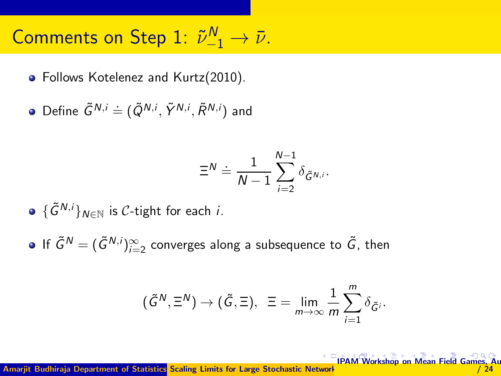# <span id="page-19-0"></span>Comments on Step 1:  $\tilde{\nu}_{-1}^N \rightarrow \bar{\nu}$ .

• Follows Kotelenez and Kurtz(2010).

Define  $\tilde{G}^{N,i} \doteq (\tilde{Q}^{N,i}, \tilde{Y}^{N,i}, \tilde{R}^{N,i})$  and

$$
\Xi^N \doteq \frac{1}{N-1}\sum_{i=2}^{N-1} \delta_{\tilde{G}^{N,i}}.
$$

 ${\mathfrak{S}}^{N,i}$ <sub>N∈N</sub> is C-tight for each *i*.

If  $\tilde{G}^{\mathcal{N}}=(\tilde{G}^{\mathcal{N},i})_{i=2}^{\infty}$  converges along a subsequence to  $\tilde{G}$ , then

$$
(\tilde{G}^N, \Xi^N) \to (\tilde{G}, \Xi), \ \ \Xi = \lim_{m \to \infty} \frac{1}{m} \sum_{i=1}^m \delta_{\tilde{G}^i}.
$$

Amarijt Budhiraja Department of Statistics Scaling Limits for Large Stochastic Network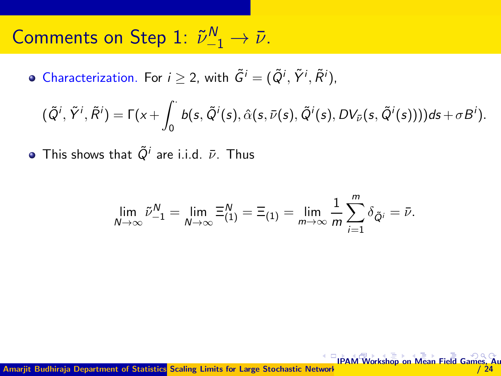# <span id="page-20-0"></span>Comments on Step 1:  $\tilde{\nu}_{-1}^N \rightarrow \bar{\nu}$ .

Characterization. For  $i \geq 2$ , with  $\tilde{G}^i = (\tilde{Q}^i, \tilde{Y}^i, \tilde{R}^i)$ ,

$$
(\tilde{Q}^i, \tilde{Y}^i, \tilde{R}^i) = \Gamma(x + \int_0^{\cdot} b(s, \tilde{Q}^i(s), \hat{\alpha}(s, \bar{\nu}(s), \tilde{Q}^i(s), DV_{\bar{\nu}}(s, \tilde{Q}^i(s)))) ds + \sigma B^i).
$$

This shows that  $\tilde{Q}^i$  are i.i.d.  $\bar{\nu}$ . Thus

$$
\lim_{N \to \infty} \tilde{\nu}_{-1}^N = \lim_{N \to \infty} \Xi_{(1)}^N = \Xi_{(1)} = \lim_{m \to \infty} \frac{1}{m} \sum_{i=1}^m \delta_{\tilde{Q}^i} = \bar{\nu}.
$$

Amarjit Budhiraja Department of Statistics Scaling Limits for Large Stochastic Network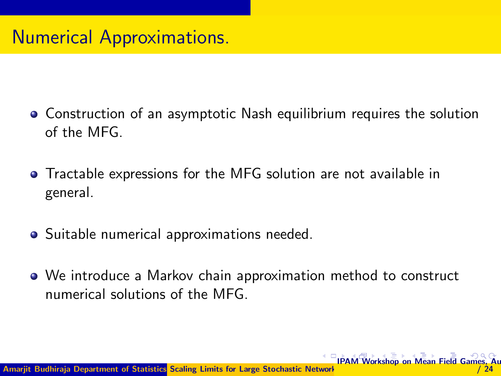### <span id="page-21-0"></span>Numerical Approximations.

- Construction of an asymptotic Nash equilibrium requires the solution of the MFG.
- Tractable expressions for the MFG solution are not available in general.
- Suitable numerical approximations needed.
- We introduce a Markov chain approximation method to construct numerical solutions of the MFG.

 $M$ [ean](#page-24-0) [Fiel](#page-0-0)[d Ga](#page-24-0)n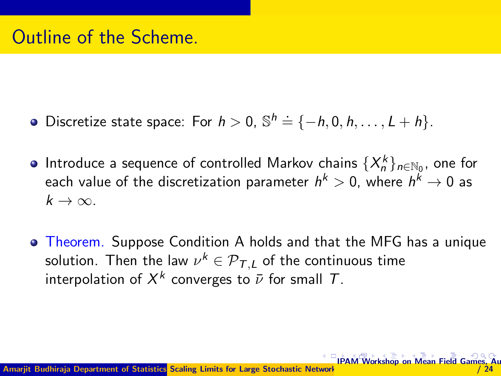- <span id="page-22-0"></span>Discretize state space: For  $h > 0$ ,  $\mathbb{S}^h \doteq \{-h, 0, h, \ldots, L + h\}.$
- Introduce a sequence of controlled Markov chains  $\{X_n^k\}_{n\in\mathbb{N}_0}$ , one for each value of the discretization parameter  $h^k>0$ , where  $h^k\rightarrow 0$  as  $k \to \infty$ .
- **Theorem.** Suppose Condition A holds and that the MFG has a unique solution. Then the law  $\nu^k \in {\mathcal P}_{\mathcal T,L}$  of the continuous time interpolation of  $X^k$  converges to  $\bar{\nu}$  for small  $T.$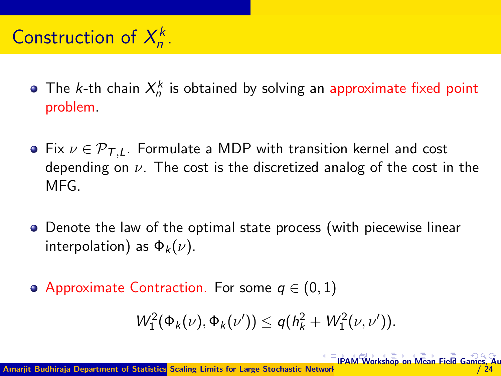#### <span id="page-23-0"></span>Construction of  $X_n^k$  $n^{\prime}$

- The *k*-th chain  $X_n^k$  is obtained by solving an approximate fixed point problem.
- Fix  $\nu \in \mathcal{P}_{TL}$ . Formulate a MDP with transition kernel and cost depending on  $\nu$ . The cost is the discretized analog of the cost in the MFG.
- Denote the law of the optimal state process (with piecewise linear interpolation) as  $\Phi_k(\nu)$ .
- $\bullet$  Approximate Contraction. For some  $q \in (0,1)$

$$
W_1^2(\Phi_k(\nu), \Phi_k(\nu')) \leq q(h_k^2 + W_1^2(\nu, \nu')).
$$